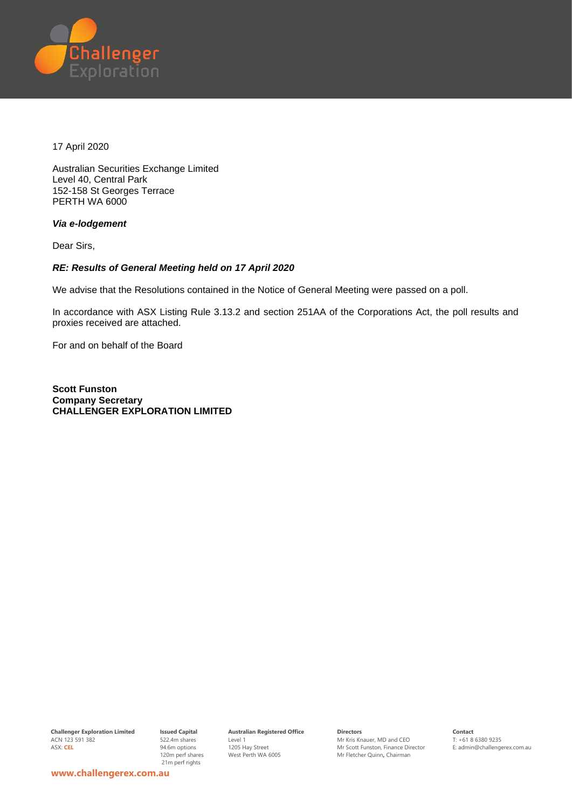

# 17 April 2020

Australian Securities Exchange Limited Level 40, Central Park 152-158 St Georges Terrace PERTH WA 6000

## *Via e-lodgement*

Dear Sirs,

# *RE: Results of General Meeting held on 17 April 2020*

We advise that the Resolutions contained in the Notice of General Meeting were passed on a poll.

In accordance with ASX Listing Rule 3.13.2 and section 251AA of the Corporations Act, the poll results and proxies received are attached.

For and on behalf of the Board

**Scott Funston Company Secretary CHALLENGER EXPLORATION LIMITED**

**Challenger Exploration Limited** ACN 123 591 382 ASX: **CEL**

**Issued Capital** 522.4m shares 94.6m options 120m perf shares 21m perf rights

**Australian Registered Office** Level 1 1205 Hay Street West Perth WA 6005

**Directors** Mr Kris Knauer, MD and CEO Mr Scott Funston, Finance Director Mr Fletcher Quinn**,** Chairman

**Contact** T: +61 8 6380 9235 E: admin@challengerex.com.au

### **www.challengerex.com.au**